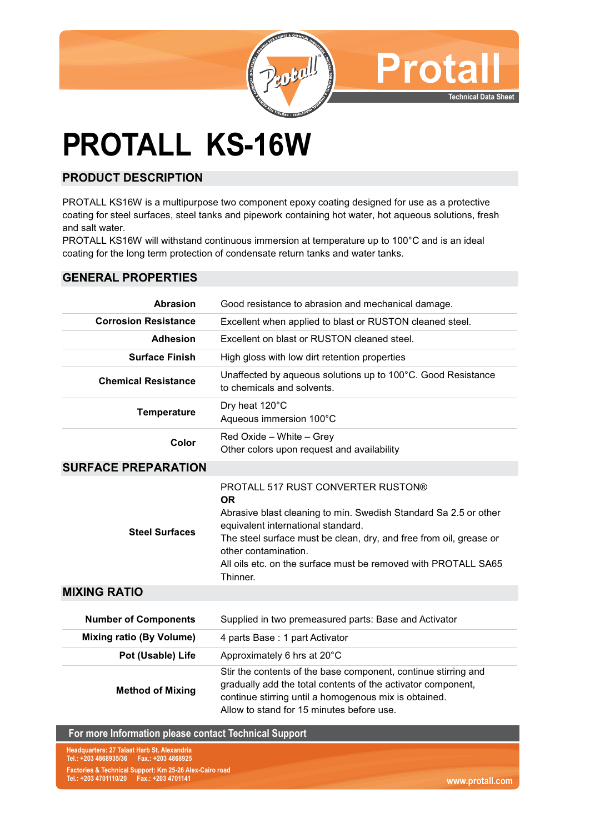

# **PROTALL KS-16W**

# **PRODUCT DESCRIPTION**

PROTALL KS16W is a multipurpose two component epoxy coating designed for use as a protective coating for steel surfaces, steel tanks and pipework containing hot water, hot aqueous solutions, fresh and salt water.

PROTALL KS16W will withstand continuous immersion at temperature up to 100°C and is an ideal coating for the long term protection of condensate return tanks and water tanks.

### **GENERAL PROPERTIES**

| <b>Abrasion</b>                 | Good resistance to abrasion and mechanical damage.                                                                                                                                                                                                                                                                                    |
|---------------------------------|---------------------------------------------------------------------------------------------------------------------------------------------------------------------------------------------------------------------------------------------------------------------------------------------------------------------------------------|
| <b>Corrosion Resistance</b>     | Excellent when applied to blast or RUSTON cleaned steel.                                                                                                                                                                                                                                                                              |
| <b>Adhesion</b>                 | Excellent on blast or RUSTON cleaned steel.                                                                                                                                                                                                                                                                                           |
| <b>Surface Finish</b>           | High gloss with low dirt retention properties                                                                                                                                                                                                                                                                                         |
| <b>Chemical Resistance</b>      | Unaffected by aqueous solutions up to 100°C. Good Resistance<br>to chemicals and solvents.                                                                                                                                                                                                                                            |
| <b>Temperature</b>              | Dry heat 120°C<br>Aqueous immersion 100°C                                                                                                                                                                                                                                                                                             |
| Color                           | Red Oxide - White - Grey<br>Other colors upon request and availability                                                                                                                                                                                                                                                                |
| <b>SURFACE PREPARATION</b>      |                                                                                                                                                                                                                                                                                                                                       |
| <b>Steel Surfaces</b>           | PROTALL 517 RUST CONVERTER RUSTON®<br><b>OR</b><br>Abrasive blast cleaning to min. Swedish Standard Sa 2.5 or other<br>equivalent international standard.<br>The steel surface must be clean, dry, and free from oil, grease or<br>other contamination.<br>All oils etc. on the surface must be removed with PROTALL SA65<br>Thinner. |
| <b>MIXING RATIO</b>             |                                                                                                                                                                                                                                                                                                                                       |
| <b>Number of Components</b>     | Supplied in two premeasured parts: Base and Activator                                                                                                                                                                                                                                                                                 |
| <b>Mixing ratio (By Volume)</b> | 4 parts Base: 1 part Activator                                                                                                                                                                                                                                                                                                        |
| Pot (Usable) Life               | Approximately 6 hrs at 20°C                                                                                                                                                                                                                                                                                                           |
| <b>Method of Mixing</b>         | Stir the contents of the base component, continue stirring and<br>gradually add the total contents of the activator component,<br>continue stirring until a homogenous mix is obtained.<br>Allow to stand for 15 minutes before use.                                                                                                  |

#### **For more Information please contact Technical Support**

**Factories & Technical Support: Km 25-26 Alex-Cairo road Tel.: +203 4701110/20 Fax.: +203 4701141 Headquarters: 27 Talaat Harb St. Alexandria Tel.: +203 4868935/36 Fax.: +203 4868925**